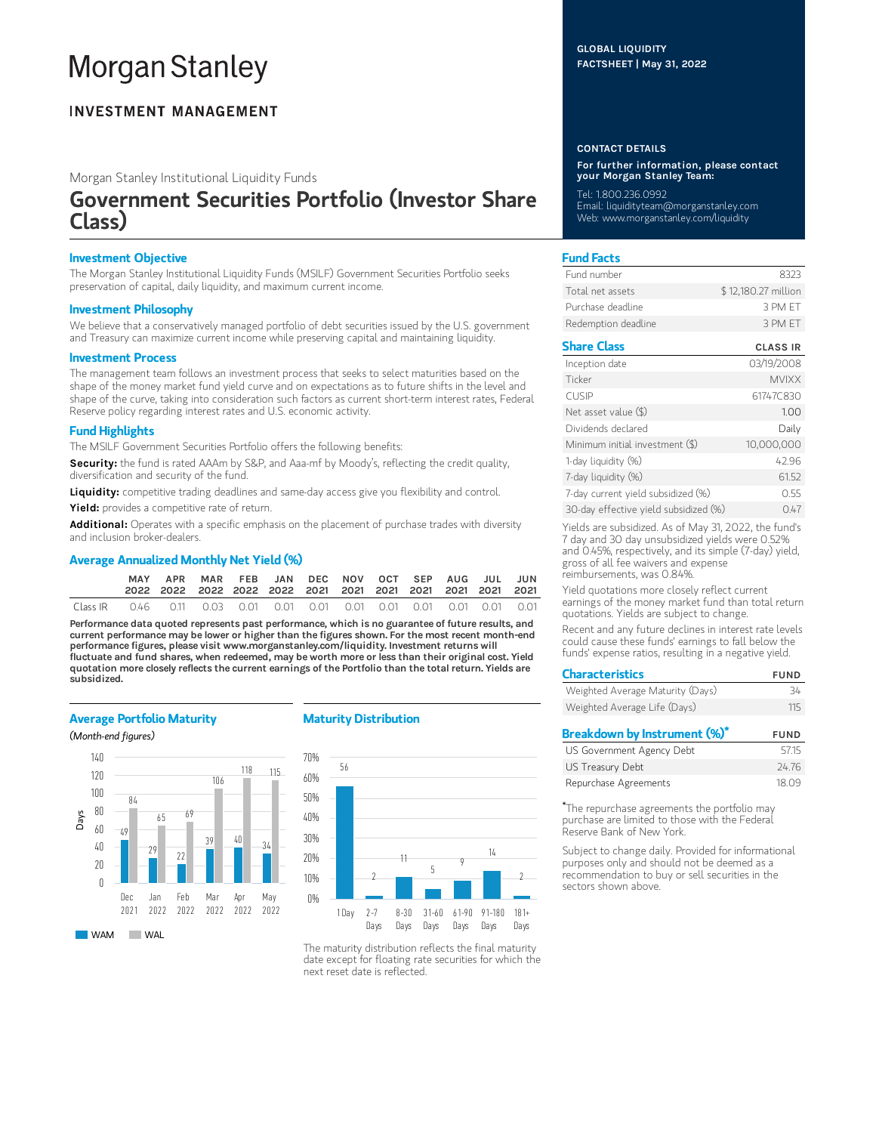# **Morgan Stanley**

### **INVESTMENT MANAGEMENT**

Morgan Stanley Institutional Liquidity Funds

## Government Securities Portfolio (Investor Share Class)

#### Investment Objective

The Morgan Stanley Institutional Liquidity Funds (MSILF) Government Securities Portfolio seeks preservation of capital, daily liquidity, and maximum current income.

#### Investment Philosophy

We believe that a conservatively managed portfolio of debt securities issued by the U.S. government and Treasury can maximize current income while preserving capital and maintaining liquidity.

#### Investment Process

The management team follows an investment process that seeks to select maturities based on the shape of the money market fund yield curve and on expectations as to future shifts in the level and shape of the curve, taking into consideration such factors as current short-term interest rates, Federal Reserve policy regarding interest rates and U.S. economic activity.

#### Fund Highlights

The MSILF Government Securities Portfolio offers the following benefits:

Security: the fund is rated AAAm by S&P, and Aaa-mf by Moody's, reflecting the credit quality, diversification and security of the fund.

Liquidity: competitive trading deadlines and same-day access give you flexibility and control.

Yield: provides a competitive rate of return.

Additional: Operates with a specific emphasis on the placement of purchase trades with diversity and inclusion broker-dealers.

#### Average Annualized Monthly Net Yield (%)

|          |                                                                        | MAR FEB JAN DEC NOV OCT SEP AUG JUL JUN |  |  |  |  |  |
|----------|------------------------------------------------------------------------|-----------------------------------------|--|--|--|--|--|
| Class IR | 0.46  0.11  0.03  0.01  0.01  0.01  0.01  0.01  0.01  0.01  0.01  0.01 |                                         |  |  |  |  |  |

Performance data quoted represents past performance, which is no guarantee of future results, and current performance may be lower or higher than the figures shown. For the most recent month-end performance figures, please visit www.morganstanley.com/liquidity. Investment returns will fluctuate and fund shares, when redeemed, may be worth more or less than their original cost. Yield quotation more closely reflects the current earnings of the Portfolio than the total return. Yields are subsidized.

#### Average Portfolio Maturity

(Month-end figures)



#### Maturity Distribution



The maturity distribution reflects the final maturity date except for floating rate securities for which the next reset date is reflected.

#### GLOBAL LIQUIDITY FACTSHEET | May 31, 2022

#### CONTACT DETAILS

For further information, please contact your Morgan Stanley Team:

Tel: 1.800.236.0992 Email: liquidityteam@morganstanley.com Web: www.morganstanley.com/liquidity

#### Fund Facts

| Fund number         | 8323                |
|---------------------|---------------------|
| Total net assets    | \$12,180.27 million |
| Purchase deadline.  | 3 PM FT             |
| Redemption deadline | 3 PM FT             |

#### Share Class CLASS IR

| Inception date                        | 03/19/2008   |
|---------------------------------------|--------------|
| Ticker                                | <b>MVIXX</b> |
| <b>CUSIP</b>                          | 61747C830    |
| Net asset value (\$)                  | 1.00         |
| Dividends declared                    | Daily        |
| Minimum initial investment (\$)       | 10,000,000   |
| 1-day liquidity (%)                   | 42.96        |
| 7-day liquidity (%)                   | 61.52        |
| 7-day current yield subsidized (%)    | 0.55         |
| 30-day effective yield subsidized (%) | 0.47         |

Yields are subsidized. As of May 31, 2022, the fund's 7 day and 30 day unsubsidized yields were 0.52% and 0.45%, respectively, and its simple (7-day) yield, gross of all fee waivers and expense reimbursements, was 0.84%.

Yield quotations more closely reflect current earnings of the money market fund than total return quotations. Yields are subject to change.

Recent and any future declines in interest rate levels could cause these funds' earnings to fall below the funds' expense ratios, resulting in a negative yield.

| <b>Characteristics</b>           | <b>FUND</b> |
|----------------------------------|-------------|
| Weighted Average Maturity (Days) | 34          |
| Weighted Average Life (Days)     | 115         |
| Breakdown by Instrument (%)*     | <b>FUND</b> |
| US Government Agency Debt        | 5715        |
|                                  |             |

| US GOVERNMENT Agency Dept | 57.15 |
|---------------------------|-------|
| US Treasury Debt          | 24.76 |
| Repurchase Agreements     | 18.09 |

The repurchase agreements the portfolio may \*purchase are limited to those with the Federal Reserve Bank of New York.

Subject to change daily. Provided for informational purposes only and should not be deemed as a recommendation to buy or sell securities in the sectors shown above.